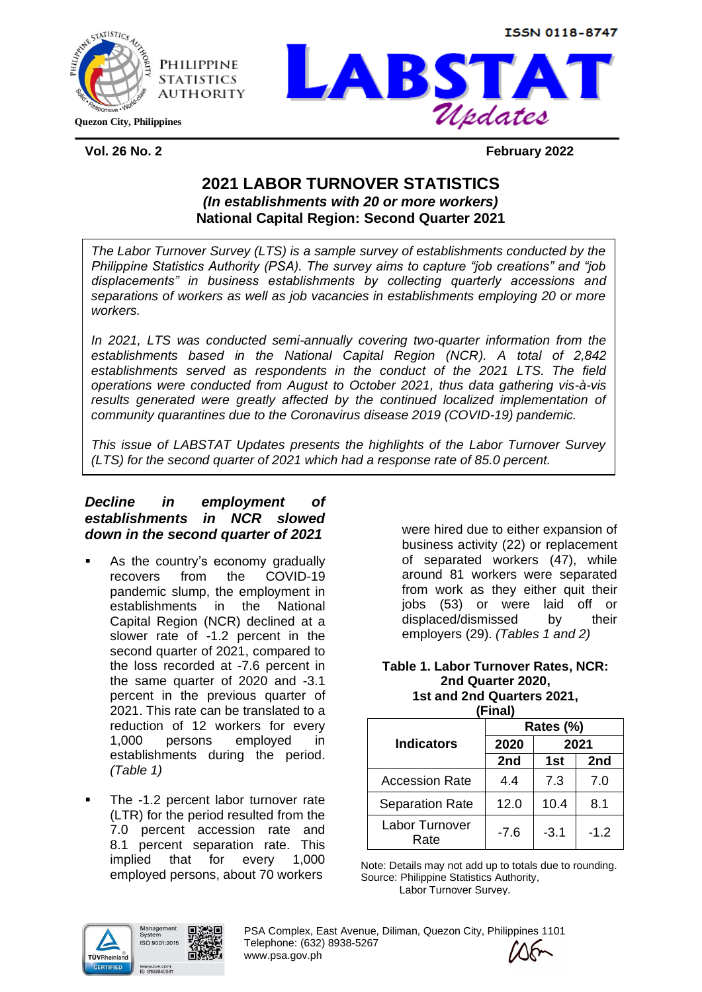

**Quezon City, Philippines**



**Vol. 26 No. 2 February 2022**

ISSN 0118-8747

# **2021 LABOR TURNOVER STATISTICS**  *(In establishments with 20 or more workers)* **National Capital Region: Second Quarter 2021**

*The Labor Turnover Survey (LTS) is a sample survey of establishments conducted by the Philippine Statistics Authority (PSA). The survey aims to capture "job creations" and "job displacements" in business establishments by collecting quarterly accessions and separations of workers as well as job vacancies in establishments employing 20 or more workers.* 

*In 2021, LTS was conducted semi-annually covering two-quarter information from the establishments based in the National Capital Region (NCR). A total of 2,842 establishments served as respondents in the conduct of the 2021 LTS. The field operations were conducted from August to October 2021, thus data gathering vis-à-vis*  results generated were greatly affected by the continued localized implementation of *community quarantines due to the Coronavirus disease 2019 (COVID-19) pandemic.*

*This issue of LABSTAT Updates presents the highlights of the Labor Turnover Survey (LTS) for the second quarter of 2021 which had a response rate of 85.0 percent.*

# *Decline in employment of establishments in NCR slowed down in the second quarter of 2021*

- As the country's economy gradually recovers from the COVID-19 pandemic slump, the employment in establishments in the National Capital Region (NCR) declined at a slower rate of -1.2 percent in the second quarter of 2021, compared to the loss recorded at -7.6 percent in the same quarter of 2020 and -3.1 percent in the previous quarter of 2021. This rate can be translated to a reduction of 12 workers for every 1,000 persons employed in establishments during the period. *(Table 1)*
- The -1.2 percent labor turnover rate (LTR) for the period resulted from the 7.0 percent accession rate and 8.1 percent separation rate. This implied that for every 1,000 employed persons, about 70 workers

were hired due to either expansion of business activity (22) or replacement of separated workers (47), while around 81 workers were separated from work as they either quit their jobs (53) or were laid off or displaced/dismissed by their employers (29). *(Tables 1 and 2)*

#### **Table 1. Labor Turnover Rates, NCR: 2nd Quarter 2020, 1st and 2nd Quarters 2021,**

| (Final)                |           |        |        |  |
|------------------------|-----------|--------|--------|--|
|                        | Rates (%) |        |        |  |
| <b>Indicators</b>      | 2020      |        | 2021   |  |
|                        | 2nd       | 1st    | 2nd    |  |
| <b>Accession Rate</b>  | 44        | 7.3    | 7.0    |  |
| <b>Separation Rate</b> | 12.0      | 10.4   | 8.1    |  |
| Labor Turnover<br>Rate | $-7.6$    | $-3.1$ | $-1.2$ |  |

Note: Details may not add up to totals due to rounding. Source: Philippine Statistics Authority, Labor Turnover Survey.



PSA Complex, East Avenue, Diliman, Quezon City, Philippines 1101 Telephone: (632) 8938-5267 www.psa.gov.ph

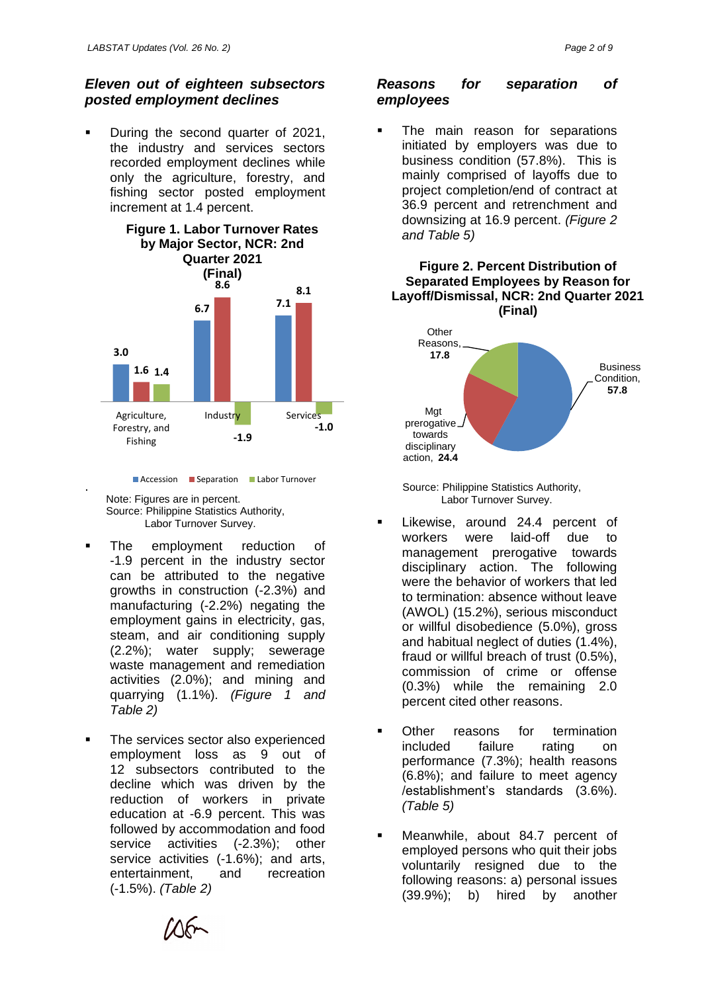### *Eleven out of eighteen subsectors posted employment declines*

During the second quarter of 2021, the industry and services sectors recorded employment declines while only the agriculture, forestry, and fishing sector posted employment increment at 1.4 percent.



**Accession Separation Labor Turnover** 

Note: Figures are in percent. Source: Philippine Statistics Authority, Labor Turnover Survey.

.

- The employment reduction of -1.9 percent in the industry sector can be attributed to the negative growths in construction (-2.3%) and manufacturing (-2.2%) negating the employment gains in electricity, gas, steam, and air conditioning supply (2.2%); water supply; sewerage waste management and remediation activities (2.0%); and mining and quarrying (1.1%). *(Figure 1 and Table 2)*
- The services sector also experienced employment loss as 9 out of 12 subsectors contributed to the decline which was driven by the reduction of workers in private education at -6.9 percent. This was followed by accommodation and food service activities (-2.3%); other service activities (-1.6%); and arts, entertainment, and recreation (-1.5%). *(Table 2)*

## *Reasons for separation of employees*

The main reason for separations initiated by employers was due to business condition (57.8%). This is mainly comprised of layoffs due to project completion/end of contract at 36.9 percent and retrenchment and downsizing at 16.9 percent. *(Figure 2 and Table 5)*

#### **Figure 2. Percent Distribution of Separated Employees by Reason for Layoff/Dismissal, NCR: 2nd Quarter 2021 (Final)**



Source: Philippine Statistics Authority, Labor Turnover Survey.

- Likewise, around 24.4 percent of workers were laid-off due to management prerogative towards disciplinary action. The following were the behavior of workers that led to termination: absence without leave (AWOL) (15.2%), serious misconduct or willful disobedience (5.0%), gross and habitual neglect of duties (1.4%), fraud or willful breach of trust (0.5%), commission of crime or offense (0.3%) while the remaining 2.0 percent cited other reasons.
- Other reasons for termination included failure rating on performance (7.3%); health reasons (6.8%); and failure to meet agency /establishment's standards (3.6%). *(Table 5)*
- Meanwhile, about 84.7 percent of employed persons who quit their jobs voluntarily resigned due to the following reasons: a) personal issues (39.9%); b) hired by another

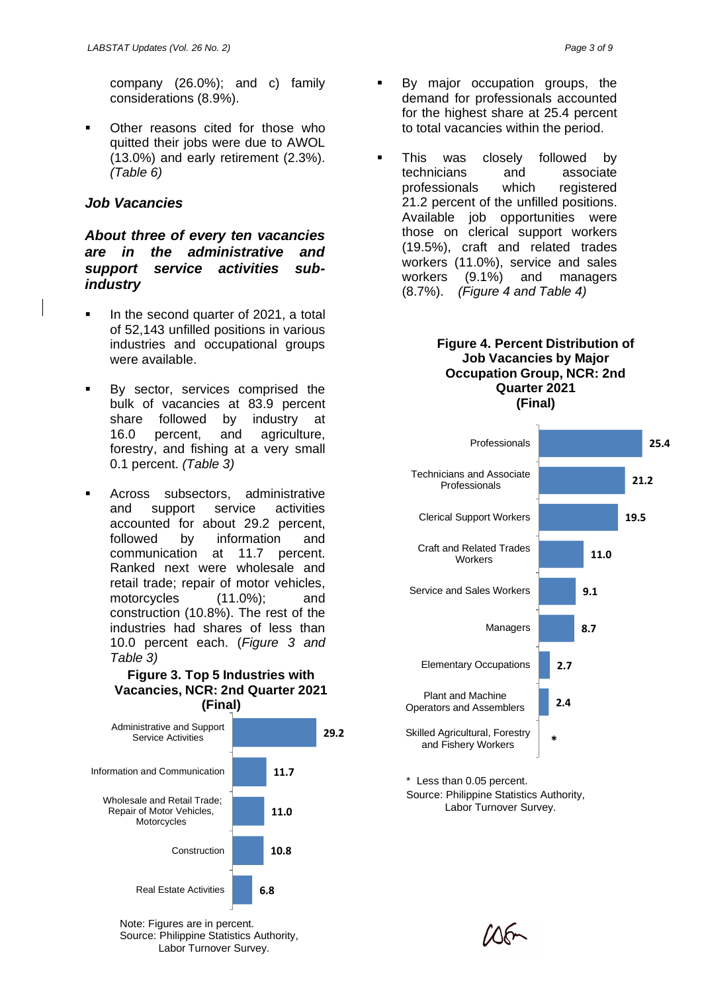company (26.0%); and c) family considerations (8.9%).

■ Other reasons cited for those who quitted their jobs were due to AWOL (13.0%) and early retirement (2.3%). *(Table 6)*

# *Job Vacancies*

## *About three of every ten vacancies are in the administrative and support service activities subindustry*

- In the second quarter of 2021, a total of 52,143 unfilled positions in various industries and occupational groups were available.
- By sector, services comprised the bulk of vacancies at 83.9 percent share followed by industry at 16.0 percent, and agriculture, forestry, and fishing at a very small 0.1 percent. *(Table 3)*
- Across subsectors, administrative and support service activities accounted for about 29.2 percent, followed by information and communication at 11.7 percent. Ranked next were wholesale and retail trade; repair of motor vehicles, motorcycles (11.0%); and construction (10.8%). The rest of the industries had shares of less than 10.0 percent each. (*Figure 3 and Table 3)*

### **Figure 3. Top 5 Industries with Vacancies, NCR: 2nd Quarter 2021 (Final)**



Note: Figures are in percent. Source: Philippine Statistics Authority, Labor Turnover Survey.

- By major occupation groups, the demand for professionals accounted for the highest share at 25.4 percent to total vacancies within the period.
- This was closely followed by technicians and associate professionals which registered 21.2 percent of the unfilled positions. Available job opportunities were those on clerical support workers (19.5%), craft and related trades workers (11.0%), service and sales workers (9.1%) and managers (8.7%). *(Figure 4 and Table 4)*

#### **Figure 4. Percent Distribution of Job Vacancies by Major Occupation Group, NCR: 2nd Quarter 2021 (Final)**



Source: Philippine Statistics Authority, Labor Turnover Survey.

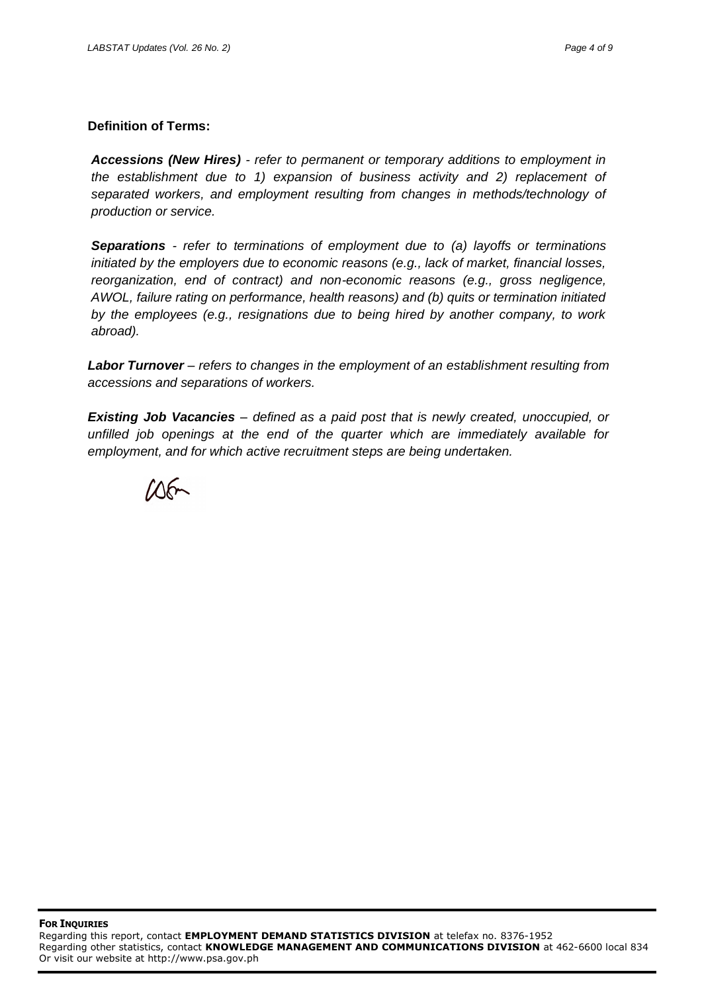#### **Definition of Terms:**

*Accessions (New Hires) - refer to permanent or temporary additions to employment in the establishment due to 1) expansion of business activity and 2) replacement of separated workers, and employment resulting from changes in methods/technology of production or service.*

*Separations - refer to terminations of employment due to (a) layoffs or terminations initiated by the employers due to economic reasons (e.g., lack of market, financial losses, reorganization, end of contract) and non-economic reasons (e.g., gross negligence, AWOL, failure rating on performance, health reasons) and (b) quits or termination initiated by the employees (e.g., resignations due to being hired by another company, to work abroad).*

*Labor Turnover – refers to changes in the employment of an establishment resulting from accessions and separations of workers.*

*Existing Job Vacancies – defined as a paid post that is newly created, unoccupied, or unfilled job openings at the end of the quarter which are immediately available for employment, and for which active recruitment steps are being undertaken.*

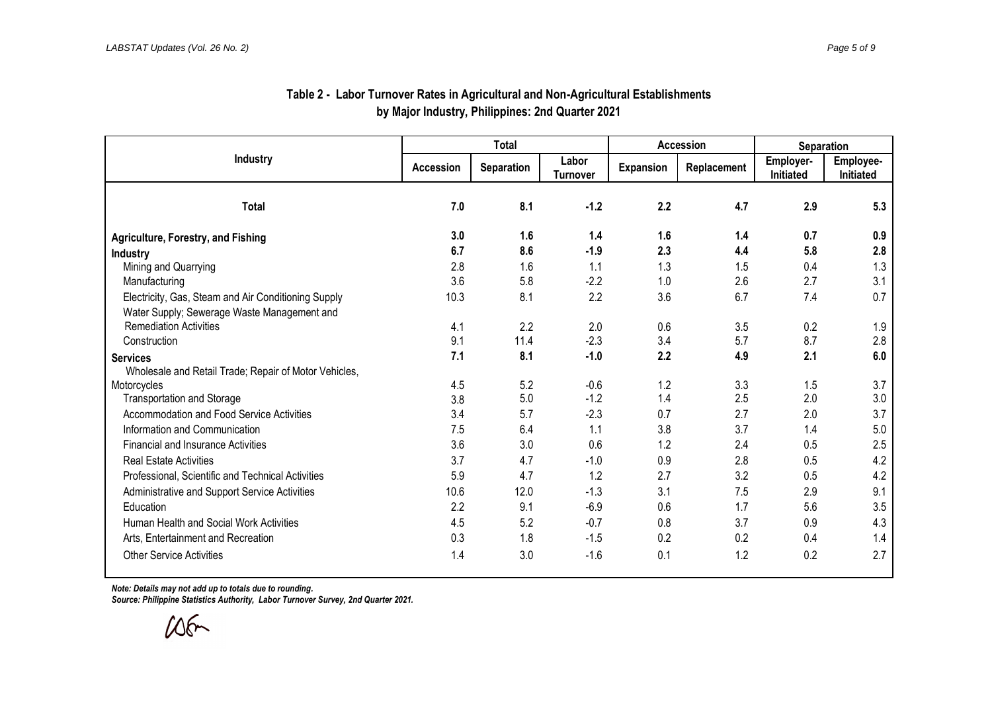| Industry                                              | <b>Total</b> |                   |                          | <b>Accession</b> |             | <b>Separation</b>      |                        |
|-------------------------------------------------------|--------------|-------------------|--------------------------|------------------|-------------|------------------------|------------------------|
|                                                       | Accession    | <b>Separation</b> | Labor<br><b>Turnover</b> | <b>Expansion</b> | Replacement | Employer-<br>Initiated | Employee-<br>Initiated |
| <b>Total</b>                                          | 7.0          | 8.1               | $-1.2$                   | 2.2              | 4.7         | 2.9                    | 5.3                    |
| <b>Agriculture, Forestry, and Fishing</b>             | 3.0          | 1.6               | 1.4                      | 1.6              | 1.4         | 0.7                    | 0.9                    |
| <b>Industry</b>                                       | 6.7          | 8.6               | $-1.9$                   | 2.3              | 4.4         | 5.8                    | 2.8                    |
| Mining and Quarrying                                  | 2.8          | 1.6               | 1.1                      | 1.3              | 1.5         | 0.4                    | 1.3                    |
| Manufacturing                                         | 3.6          | 5.8               | $-2.2$                   | 1.0              | 2.6         | 2.7                    | 3.1                    |
| Electricity, Gas, Steam and Air Conditioning Supply   | 10.3         | 8.1               | 2.2                      | 3.6              | 6.7         | 7.4                    | 0.7                    |
| Water Supply; Sewerage Waste Management and           |              |                   |                          |                  |             |                        |                        |
| <b>Remediation Activities</b>                         | 4.1          | 2.2               | 2.0                      | 0.6              | 3.5         | 0.2                    | 1.9                    |
| Construction                                          | 9.1          | 11.4              | $-2.3$                   | 3.4              | 5.7         | 8.7                    | 2.8                    |
| <b>Services</b>                                       | 7.1          | 8.1               | $-1.0$                   | 2.2              | 4.9         | 2.1                    | 6.0                    |
| Wholesale and Retail Trade; Repair of Motor Vehicles, |              |                   |                          |                  |             |                        |                        |
| Motorcycles                                           | 4.5          | 5.2               | $-0.6$                   | 1.2              | 3.3         | 1.5                    | 3.7                    |
| <b>Transportation and Storage</b>                     | 3.8          | 5.0               | $-1.2$                   | 1.4              | 2.5         | 2.0                    | 3.0                    |
| Accommodation and Food Service Activities             | 3.4          | 5.7               | $-2.3$                   | 0.7              | 2.7         | 2.0                    | 3.7                    |
| Information and Communication                         | 7.5          | 6.4               | 1.1                      | 3.8              | 3.7         | 1.4                    | 5.0                    |
| <b>Financial and Insurance Activities</b>             | 3.6          | 3.0               | 0.6                      | 1.2              | 2.4         | 0.5                    | 2.5                    |
| <b>Real Estate Activities</b>                         | 3.7          | 4.7               | $-1.0$                   | 0.9              | 2.8         | 0.5                    | 4.2                    |
| Professional, Scientific and Technical Activities     | 5.9          | 4.7               | 1.2                      | 2.7              | 3.2         | 0.5                    | 4.2                    |
| Administrative and Support Service Activities         | 10.6         | 12.0              | $-1.3$                   | 3.1              | 7.5         | 2.9                    | 9.1                    |
| Education                                             | 2.2          | 9.1               | $-6.9$                   | 0.6              | 1.7         | 5.6                    | 3.5                    |
| Human Health and Social Work Activities               | 4.5          | 5.2               | $-0.7$                   | 0.8              | 3.7         | 0.9                    | 4.3                    |
| Arts, Entertainment and Recreation                    | 0.3          | 1.8               | $-1.5$                   | 0.2              | 0.2         | 0.4                    | 1.4                    |
| <b>Other Service Activities</b>                       | 1.4          | 3.0               | $-1.6$                   | 0.1              | 1.2         | 0.2                    | 2.7                    |

## **Table 2 - Labor Turnover Rates in Agricultural and Non-Agricultural Establishments by Major Industry, Philippines: 2nd Quarter 2021**

*Note: Details may not add up to totals due to rounding.*

*Source: Philippine Statistics Authority, Labor Turnover Survey, 2nd Quarter 2021.*

 $105$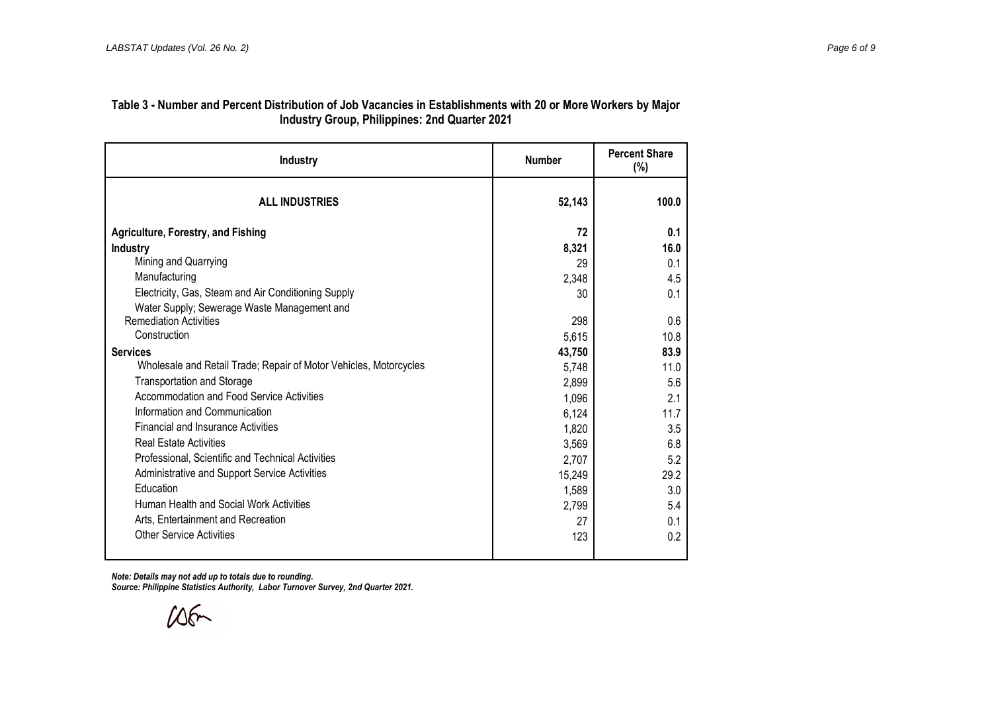## **Table 3 - Number and Percent Distribution of Job Vacancies in Establishments with 20 or More Workers by Major Industry Group, Philippines: 2nd Quarter 2021**

| <b>Industry</b>                                                   | <b>Number</b> | <b>Percent Share</b><br>$(\%)$ |  |
|-------------------------------------------------------------------|---------------|--------------------------------|--|
| <b>ALL INDUSTRIES</b>                                             | 52,143        | 100.0                          |  |
| <b>Agriculture, Forestry, and Fishing</b>                         | 72            | 0.1                            |  |
| Industry                                                          | 8,321         | 16.0                           |  |
| Mining and Quarrying                                              | 29            | 0.1                            |  |
| Manufacturing                                                     | 2,348         | 4.5                            |  |
| Electricity, Gas, Steam and Air Conditioning Supply               | 30            | 0.1                            |  |
| Water Supply; Sewerage Waste Management and                       |               |                                |  |
| <b>Remediation Activities</b>                                     | 298           | 0.6                            |  |
| Construction                                                      | 5,615         | 10.8                           |  |
| <b>Services</b>                                                   | 43,750        | 83.9                           |  |
| Wholesale and Retail Trade; Repair of Motor Vehicles, Motorcycles | 5,748         | 11.0                           |  |
| <b>Transportation and Storage</b>                                 | 2,899         | 5.6                            |  |
| Accommodation and Food Service Activities                         | 1,096         | 2.1                            |  |
| Information and Communication                                     | 6,124         | 11.7                           |  |
| <b>Financial and Insurance Activities</b>                         | 1,820         | 3.5                            |  |
| <b>Real Estate Activities</b>                                     | 3,569         | 6.8                            |  |
| Professional, Scientific and Technical Activities                 | 2,707         | 5.2                            |  |
| Administrative and Support Service Activities                     | 15,249        | 29.2                           |  |
| Education                                                         | 1,589         | 3.0                            |  |
| Human Health and Social Work Activities                           | 2,799         | 5.4                            |  |
| Arts, Entertainment and Recreation                                | 27            | 0.1                            |  |
| <b>Other Service Activities</b>                                   | 123           | 0.2                            |  |
|                                                                   |               |                                |  |

*Note: Details may not add up to totals due to rounding. Source: Philippine Statistics Authority, Labor Turnover Survey, 2nd Quarter 2021.*

 $106 -$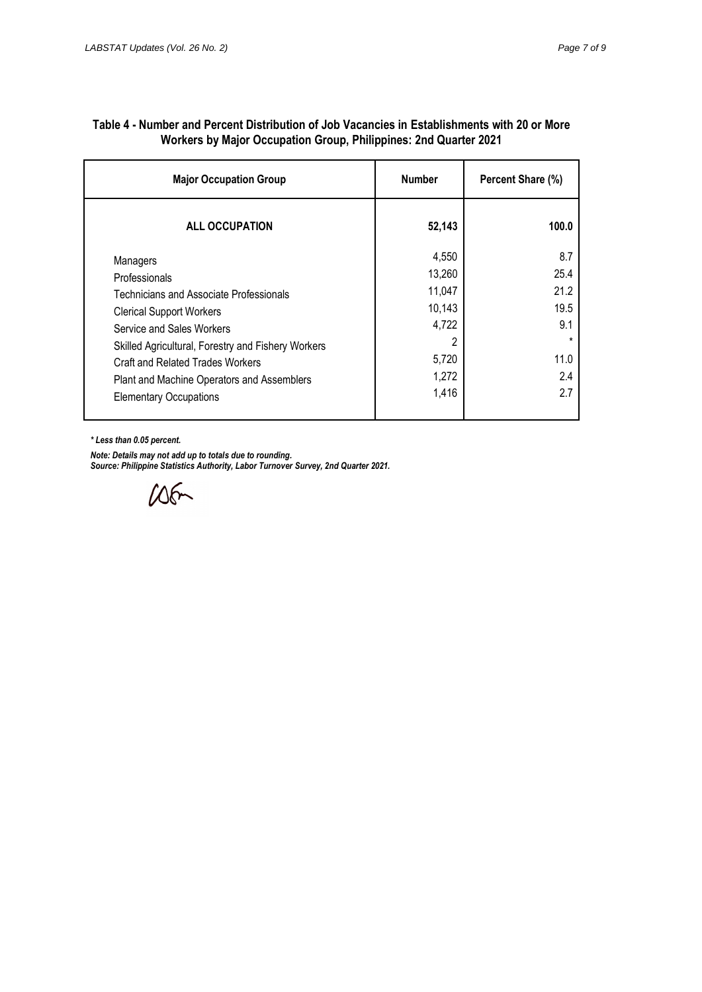| <b>Major Occupation Group</b>                                                                                                                                                                                                                                                | <b>Number</b>                                                       | Percent Share (%)                                            |
|------------------------------------------------------------------------------------------------------------------------------------------------------------------------------------------------------------------------------------------------------------------------------|---------------------------------------------------------------------|--------------------------------------------------------------|
| <b>ALL OCCUPATION</b>                                                                                                                                                                                                                                                        | 52,143                                                              | 100.0                                                        |
| Managers<br>Professionals<br>Technicians and Associate Professionals<br><b>Clerical Support Workers</b><br>Service and Sales Workers<br>Skilled Agricultural, Forestry and Fishery Workers<br>Craft and Related Trades Workers<br>Plant and Machine Operators and Assemblers | 4,550<br>13,260<br>11,047<br>10,143<br>4,722<br>2<br>5,720<br>1,272 | 8.7<br>25.4<br>21.2<br>19.5<br>9.1<br>$\star$<br>11.0<br>2.4 |
| <b>Elementary Occupations</b>                                                                                                                                                                                                                                                | 1,416                                                               | 2.7                                                          |

#### **Table 4 - Number and Percent Distribution of Job Vacancies in Establishments with 20 or More Workers by Major Occupation Group, Philippines: 2nd Quarter 2021**

*\* Less than 0.05 percent.*

*Note: Details may not add up to totals due to rounding.*

*Source: Philippine Statistics Authority, Labor Turnover Survey, 2nd Quarter 2021.*

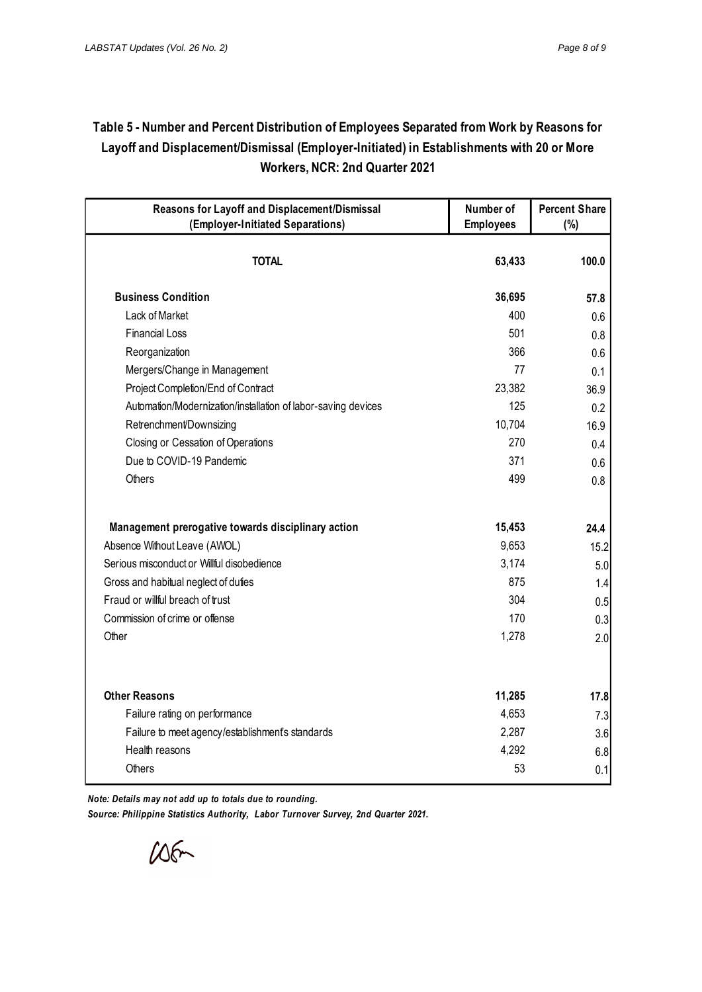# **Table 5 - Number and Percent Distribution of Employees Separated from Work by Reasons for Layoff and Displacement/Dismissal (Employer-Initiated) in Establishments with 20 or More Workers, NCR: 2nd Quarter 2021**

| Reasons for Layoff and Displacement/Dismissal                      | Number of        | <b>Percent Share</b> |
|--------------------------------------------------------------------|------------------|----------------------|
| (Employer-Initiated Separations)                                   | <b>Employees</b> | (%)                  |
| <b>TOTAL</b>                                                       | 63,433           | 100.0                |
| <b>Business Condition</b>                                          | 36,695           | 57.8                 |
| Lack of Market                                                     | 400              | 0.6                  |
| <b>Financial Loss</b>                                              | 501              | 0.8                  |
| Reorganization                                                     | 366              | 0.6                  |
| Mergers/Change in Management                                       | 77               | 0.1                  |
| Project Completion/End of Contract                                 | 23,382           | 36.9                 |
| Automation/Modernization/installation of labor-saving devices      | 125              | 0.2                  |
| Retrenchment/Downsizing                                            | 10,704           | 16.9                 |
| Closing or Cessation of Operations                                 | 270              | 0.4                  |
| Due to COVID-19 Pandemic                                           | 371              | 0.6                  |
| Others                                                             | 499              | 0.8                  |
| Management prerogative towards disciplinary action                 | 15,453           | 24.4                 |
| Absence Without Leave (AWOL)                                       | 9,653            | 15.2                 |
| Serious misconduct or Willful disobedience                         | 3,174            | 5.0                  |
| Gross and habitual neglect of duties                               | 875              | 1.4                  |
| Fraud or willful breach of trust                                   | 304              | 0.5                  |
| Commission of crime or offense                                     | 170              | 0.3                  |
| Other                                                              | 1,278            | 2.0                  |
| <b>Other Reasons</b>                                               | 11,285           |                      |
|                                                                    | 4,653            | 17.8                 |
| Failure rating on performance                                      | 2,287            | 7.3                  |
| Failure to meet agency/establishment's standards<br>Health reasons | 4,292            | 3.6                  |
|                                                                    | 53               | 6.8                  |
| Others                                                             |                  | 0.1                  |

*Note: Details may not add up to totals due to rounding. Source: Philippine Statistics Authority, Labor Turnover Survey, 2nd Quarter 2021.*